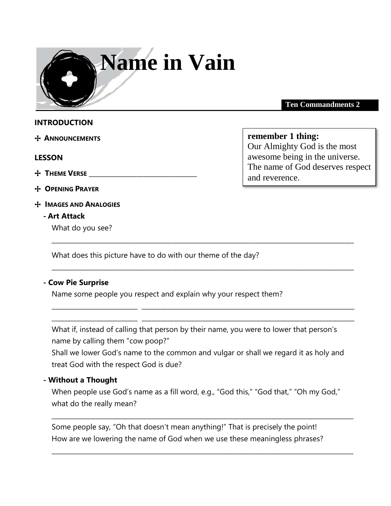

**Ten Commandments 2** 

#### **INTRODUCTION**

+ **ANNOUNCEMENTS** 

#### **LESSON**

- + **THEME VERSE** \_\_\_\_\_\_\_\_\_\_\_\_\_\_\_\_\_\_\_\_\_\_\_\_\_\_\_\_\_\_\_\_\_\_
- + **OPENING PRAYER**
- + **IMAGES AND ANALOGIES**

## **- Art Attack**

What do you see?

**remember 1 thing:**

Our Almighty God is the most awesome being in the universe. The name of God deserves respect and reverence.

What does this picture have to do with our theme of the day?

## **- Cow Pie Surprise**

Name some people you respect and explain why your respect them?

What if, instead of calling that person by their name, you were to lower that person's name by calling them "cow poop?"

\_\_\_\_\_\_\_\_\_\_\_\_\_\_\_\_\_\_\_\_\_\_\_\_\_\_\_\_\_\_\_\_\_\_\_\_\_\_\_\_\_\_\_\_\_\_\_\_\_\_\_\_\_\_\_\_\_\_\_\_\_\_\_\_\_\_\_\_\_\_\_\_\_\_\_\_\_\_\_\_\_\_\_\_\_\_\_\_\_\_\_\_\_\_\_

\_\_\_\_\_\_\_\_\_\_\_\_\_\_\_\_\_\_\_\_\_\_\_\_\_\_\_\_\_\_\_\_\_\_\_\_\_\_\_\_\_\_\_\_\_\_\_\_\_\_\_\_\_\_\_\_\_\_\_\_\_\_\_\_\_\_\_\_\_\_\_\_\_\_\_\_\_\_\_\_\_\_\_\_\_\_\_\_\_\_\_\_\_\_\_

\_\_\_\_\_\_\_\_\_\_\_\_\_\_\_\_\_\_\_\_\_\_\_\_\_\_\_ \_\_\_\_\_\_\_\_\_\_\_\_\_\_\_\_\_\_\_\_\_\_\_\_\_\_\_\_\_\_\_\_\_\_\_\_\_\_\_\_\_\_\_\_\_\_\_\_\_\_\_\_\_\_\_\_\_\_\_\_\_\_\_\_\_\_\_ \_\_\_\_\_\_\_\_\_\_\_\_\_\_\_\_\_\_\_\_\_\_\_\_\_\_\_ \_\_\_\_\_\_\_\_\_\_\_\_\_\_\_\_\_\_\_\_\_\_\_\_\_\_\_\_\_\_\_\_\_\_\_\_\_\_\_\_\_\_\_\_\_\_\_\_\_\_\_\_\_\_\_\_\_\_\_\_\_\_\_\_\_\_\_

Shall we lower God's name to the common and vulgar or shall we regard it as holy and treat God with the respect God is due?

#### **- Without a Thought**

When people use God's name as a fill word, e.g., "God this," "God that," "Oh my God," what do the really mean?

\_\_\_\_\_\_\_\_\_\_\_\_\_\_\_\_\_\_\_\_\_\_\_\_\_\_\_\_\_\_\_\_\_\_\_\_\_\_\_\_\_\_\_\_\_\_\_\_\_\_\_\_\_\_\_\_\_\_\_\_\_\_\_\_\_\_\_\_\_\_\_\_\_\_\_\_\_\_\_\_\_\_\_\_\_\_\_\_\_\_\_\_\_\_\_

\_\_\_\_\_\_\_\_\_\_\_\_\_\_\_\_\_\_\_\_\_\_\_\_\_\_\_\_\_\_\_\_\_\_\_\_\_\_\_\_\_\_\_\_\_\_\_\_\_\_\_\_\_\_\_\_\_\_\_\_\_\_\_\_\_\_\_\_\_\_\_\_\_\_\_\_\_\_\_\_\_\_\_\_\_\_\_\_\_\_\_\_\_\_\_

Some people say, "Oh that doesn't mean anything!" That is precisely the point! How are we lowering the name of God when we use these meaningless phrases?